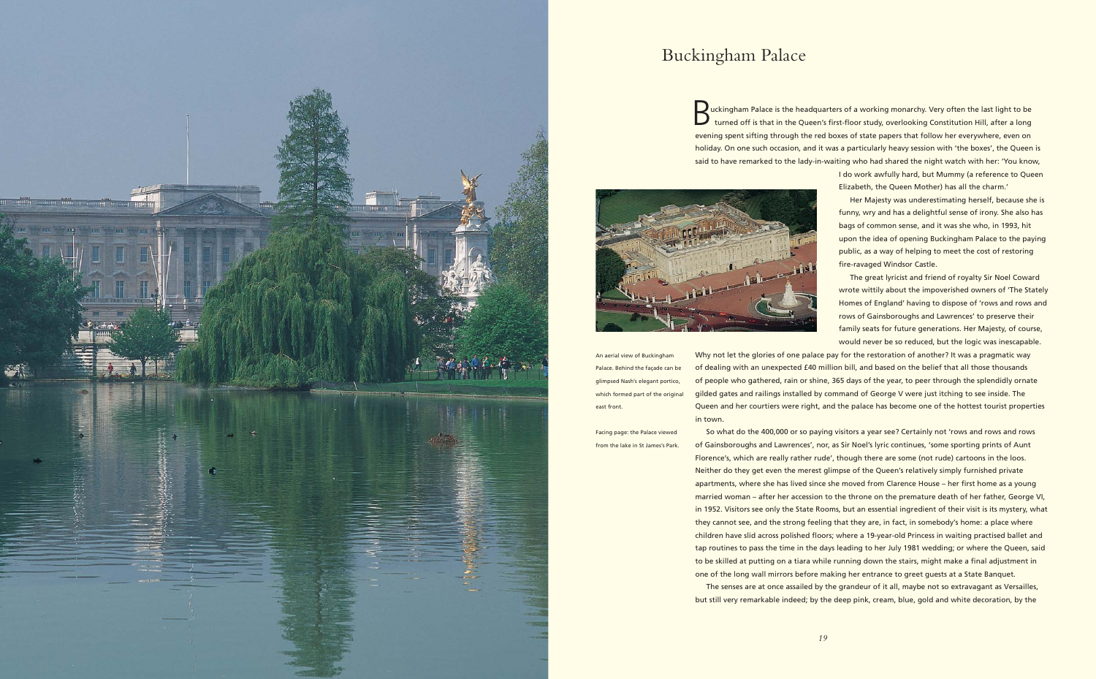**Buckingham Palace is the headquarters of a working monarchy. Very often the last light to be turned off is that in the Queen's first-floor study, overlooking Constitution Hill, after a long** evening spent sifting through the red boxes of state papers that follow her everywhere, even on holiday. On one such occasion, and it was a particularly heavy session with 'the boxes', the Queen is said to have remarked to the lady-in-waiting who had shared the night watch with her: 'You know,



I do work awfully hard, but Mummy (a reference to Queen Elizabeth, the Queen Mother) has all the charm.'

Her Majesty was underestimating herself, because she is funny, wry and has a delightful sense of irony. She also has bags of common sense, and it was she who, in 1993, hit upon the idea of opening Buckingham Palace to the paying public, as a way of helping to meet the cost of restoring fire-ravaged Windsor Castle.

The great lyricist and friend of royalty Sir Noel Coward wrote wittily about the impoverished owners of 'The Stately Homes of England' having to dispose of 'rows and rows and rows of Gainsboroughs and Lawrences' to preserve their family seats for future generations. Her Majesty, of course, would never be so reduced, but the logic was inescapable. Why not let the glories of one palace pay for the restoration of another? It was a pragmatic way of dealing with an unexpected £40 million bill, and based on the belief that all those thousands of people who gathered, rain or shine, 365 days of the year, to peer through the splendidly ornate gilded gates and railings installed by command of George V were just itching to see inside. The

Queen and her courtiers were right, and the palace has become one of the hottest tourist properties in town.

So what do the 400,000 or so paying visitors a year see? Certainly not 'rows and rows and rows of Gainsboroughs and Lawrences', nor, as Sir Noel's lyric continues, 'some sporting prints of Aunt Florence's, which are really rather rude', though there are some (not rude) cartoons in the loos. Neither do they get even the merest glimpse of the Queen's relatively simply furnished private apartments, where she has lived since she moved from Clarence House – her first home as a young married woman – after her accession to the throne on the premature death of her father, George VI, in 1952. Visitors see only the State Rooms, but an essential ingredient of their visit is its mystery, what they cannot see, and the strong feeling that they are, in fact, in somebody's home: a place where children have slid across polished floors; where a 19-year-old Princess in waiting practised ballet and tap routines to pass the time in the days leading to her July 1981 wedding; or where the Queen, said to be skilled at putting on a tiara while running down the stairs, might make a final adjustment in one of the long wall mirrors before making her entrance to greet guests at a State Banquet. The senses are at once assailed by the grandeur of it all, maybe not so extravagant as Versailles,

but still very remarkable indeed; by the deep pink, cream, blue, gold and white decoration, by the



## Buckingham Palace

An aerial view of Buckingham Palace. Behind the façade can be glimpsed Nash's elegant portico, which formed part of the original east front.

Facing page: the Palace viewed from the lake in St James's Park.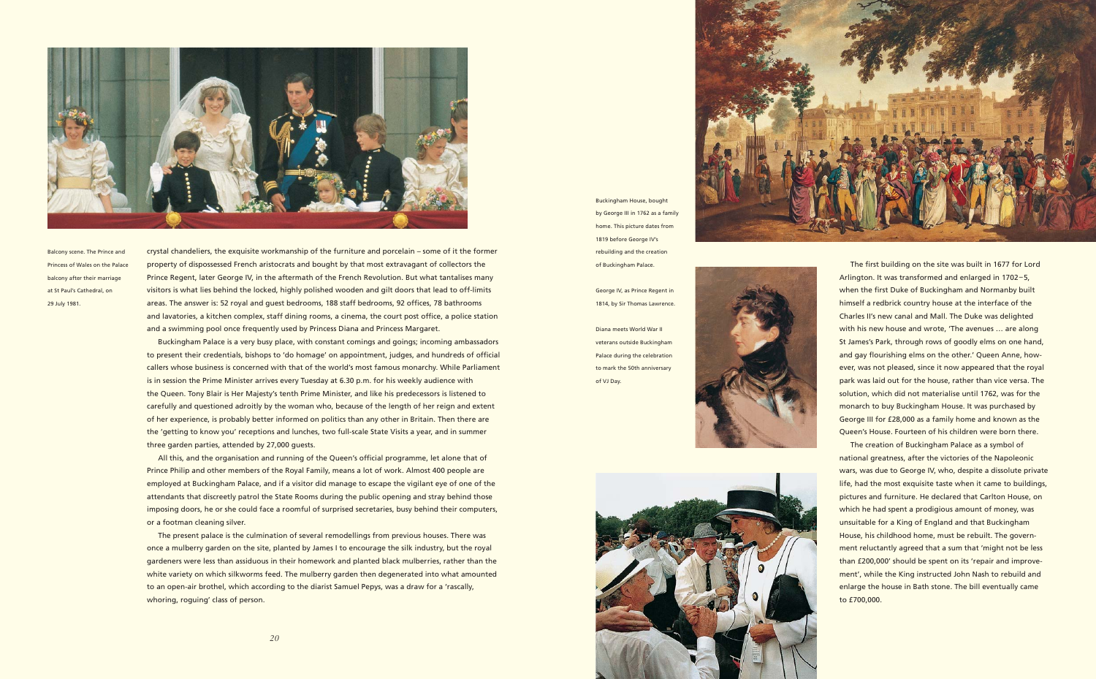The first building on the site was built in 1677 for Lord Arlington. It was transformed and enlarged in 1702–5, when the first Duke of Buckingham and Normanby built himself a redbrick country house at the interface of the Charles II's new canal and Mall. The Duke was delighted with his new house and wrote, 'The avenues … are along St James's Park, through rows of goodly elms on one hand, and gay flourishing elms on the other.' Queen Anne, however, was not pleased, since it now appeared that the royal park was laid out for the house, rather than vice versa. The solution, which did not materialise until 1762, was for the monarch to buy Buckingham House. It was purchased by George III for £28,000 as a family home and known as the Queen's House. Fourteen of his children were born there.

The creation of Buckingham Palace as a symbol of national greatness, after the victories of the Napoleonic wars, was due to George IV, who, despite a dissolute private life, had the most exquisite taste when it came to buildings, pictures and furniture. He declared that Carlton House, on which he had spent a prodigious amount of money, was unsuitable for a King of England and that Buckingham House, his childhood home, must be rebuilt. The government reluctantly agreed that a sum that 'might not be less than £200,000' should be spent on its 'repair and improvement', while the King instructed John Nash to rebuild and enlarge the house in Bath stone. The bill eventually came to £700,000.

Buckingham House, bought by George III in 1762 as a family home. This picture dates from 1819 before George IV's rebuilding and the creation of Buckingham Palace.

George IV, as Prince Regent in 1814, by Sir Thomas Lawrence.

Diana meets World War II veterans outside Buckingham Palace during the celebration to mark the 50th anniversary of VJ Day.





The present palace is the culmination of several remodellings from previous houses. There was once a mulberry garden on the site, planted by James I to encourage the silk industry, but the royal gardeners were less than assiduous in their homework and planted black mulberries, rather than the white variety on which silkworms feed. The mulberry garden then degenerated into what amounted to an open-air brothel, which according to the diarist Samuel Pepys, was a draw for a 'rascally, whoring, roguing' class of person.

crystal chandeliers, the exquisite workmanship of the furniture and porcelain – some of it the former property of dispossessed French aristocrats and bought by that most extravagant of collectors the Prince Regent, later George IV, in the aftermath of the French Revolution. But what tantalises many visitors is what lies behind the locked, highly polished wooden and gilt doors that lead to off-limits areas. The answer is: 52 royal and guest bedrooms, 188 staff bedrooms, 92 offices, 78 bathrooms and lavatories, a kitchen complex, staff dining rooms, a cinema, the court post office, a police station and a swimming pool once frequently used by Princess Diana and Princess Margaret.

Buckingham Palace is a very busy place, with constant comings and goings; incoming ambassadors to present their credentials, bishops to 'do homage' on appointment, judges, and hundreds of official callers whose business is concerned with that of the world's most famous monarchy. While Parliament is in session the Prime Minister arrives every Tuesday at 6.30 p.m. for his weekly audience with the Queen. Tony Blair is Her Majesty's tenth Prime Minister, and like his predecessors is listened to carefully and questioned adroitly by the woman who, because of the length of her reign and extent of her experience, is probably better informed on politics than any other in Britain. Then there are the 'getting to know you' receptions and lunches, two full-scale State Visits a year, and in summer three garden parties, attended by 27,000 guests.

All this, and the organisation and running of the Queen's official programme, let alone that of Prince Philip and other members of the Royal Family, means a lot of work. Almost 400 people are employed at Buckingham Palace, and if a visitor did manage to escape the vigilant eye of one of the attendants that discreetly patrol the State Rooms during the public opening and stray behind those imposing doors, he or she could face a roomful of surprised secretaries, busy behind their computers, or a footman cleaning silver.



Balcony scene. The Prince and Princess of Wales on the Palace balcony after their marriage at St Paul's Cathedral, on 29 July 1981.